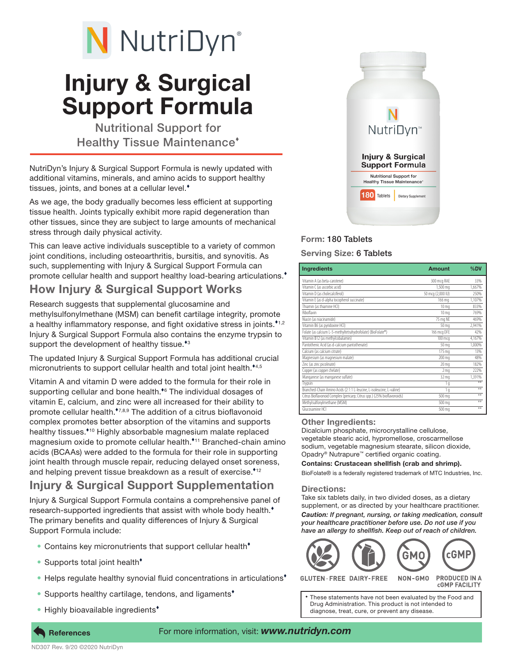# N NutriDyn®

## Injury & Surgical Support Formula

Nutritional Support for Healthy Tissue Maintenance

NutriDyn's Injury & Surgical Support Formula is newly updated with additional vitamins, minerals, and amino acids to support healthy tissues, joints, and bones at a cellular level.<sup>\*</sup>

As we age, the body gradually becomes less efficient at supporting tissue health. Joints typically exhibit more rapid degeneration than other tissues, since they are subject to large amounts of mechanical stress through daily physical activity.

This can leave active individuals susceptible to a variety of common joint conditions, including osteoarthritis, bursitis, and synovitis. As such, supplementing with Injury & Surgical Support Formula can promote cellular health and support healthy load-bearing articulations.<sup>\*</sup>

## How Injury & Surgical Support Works

Research suggests that supplemental glucosamine and methylsulfonylmethane (MSM) can benefit cartilage integrity, promote a healthy inflammatory response, and fight oxidative stress in joints.<sup>\*1,2</sup> Injury & Surgical Support Formula also contains the enzyme trypsin to support the development of healthy tissue.<sup>\*3</sup>

The updated Injury & Surgical Support Formula has additional crucial micronutrients to support cellular health and total joint health.<sup>\*4,5</sup>

Vitamin A and vitamin D were added to the formula for their role in supporting cellular and bone health.<sup>\*6</sup> The individual dosages of vitamin E, calcium, and zinc were all increased for their ability to promote cellular health.<sup>\*7,8,9</sup> The addition of a citrus bioflavonoid complex promotes better absorption of the vitamins and supports healthy tissues.<sup>\*10</sup> Highly absorbable magnesium malate replaced magnesium oxide to promote cellular health.<sup>\*11</sup> Branched-chain amino acids (BCAAs) were added to the formula for their role in supporting joint health through muscle repair, reducing delayed onset soreness, and helping prevent tissue breakdown as a result of exercise.\*12

## Injury & Surgical Support Supplementation

Injury & Surgical Support Formula contains a comprehensive panel of research-supported ingredients that assist with whole body health.<sup>\*</sup> The primary benefits and quality differences of Injury & Surgical Support Formula include:

- Contains key micronutrients that support cellular health<sup>\*</sup>
- Supports total joint health<sup>\*</sup>
- Helps regulate healthy synovial fluid concentrations in articulations<sup>\*</sup>
- Supports healthy cartilage, tendons, and ligaments<sup>\*</sup>
- Highly bioavailable ingredients



## Form: 180 Tablets

### Serving Size: 6 Tablets

| <b>Ingredients</b>                                                      | Amount            | %DV    |
|-------------------------------------------------------------------------|-------------------|--------|
| Vitamin A (as beta-carotene)                                            | 300 mcg RAE       | 33%    |
| Vitamin C (as ascorbic acid)                                            | 1,500 mg          | 1.667% |
| Vitamin D (as cholecalciferol)                                          | 50 mcg (2,000 IU) | 250%   |
| Vitamin E (as d-alpha tocopherol succinate)                             | 166 ma            | 1,107% |
| Thiamin (as thiamine HCI)                                               | 10 <sub>ma</sub>  | 833%   |
| Riboflavin                                                              | 10 <sub>ma</sub>  | 769%   |
| Niacin (as niacinamide)                                                 | 75 mg NE          | 469%   |
| Vitamin B6 (as pyridoxine HCI)                                          | 50 mg             | 2,941% |
| Folate (as calcium L-5-methyltetrahydrofolate) (BioFolate®)             | 166 mcg DFE       | 42%    |
| Vitamin B12 (as methylcobalamin)                                        | 100 mca           | 4.167% |
| Pantothenic Acid (as d-calcium pantothenate)                            | 50 mg             | 1,000% |
| Calcium (as calcium citrate)                                            | 175 ma            | 13%    |
| Magnesium (as magnesium malate)                                         | 200 mg            | 48%    |
| Zinc (as zinc picolinate)                                               | 20 <sub>mg</sub>  | 182%   |
| Copper (as copper chelate)                                              | 2 <sub>ma</sub>   | 222%   |
| Manganese (as manganese sulfate)                                        | 32 <sub>ma</sub>  | 1.391% |
| Trypsin                                                                 | q                 | $x +$  |
| Branched-Chain Amino Acids (2:1:1 L-leucine, L-isoleucine, L-valine)    | 1 <sub>q</sub>    | **     |
| Citrus Bioflavonoid Complex (pericarp; Citrus spp.) (25% bioflavonoids) | 500 mg            | ¥¥.    |
| Methylsulfonylmethane (MSM)                                             | 500 mg            | ¥¥.    |
| Glucosamine HCI                                                         | 500 mg            | ¥¥     |

#### Other Ingredients:

Dicalcium phosphate, microcrystalline cellulose, vegetable stearic acid, hypromellose, croscarmellose sodium, vegetable magnesium stearate, silicon dioxide, Opadry® Nutrapure™ certified organic coating.

Contains: Crustacean shellfish (crab and shrimp).

BioFolate® is a federally registered trademark of MTC Industries, Inc.

#### Directions:

Take six tablets daily, in two divided doses, as a dietary supplement, or as directed by your healthcare practitioner. *Caution: If pregnant, nursing, or taking medication, consult your healthcare practitioner before use. Do not use if you have an allergy to shellfish. Keep out of reach of children.*



**GLUTEN-FREE DAIRY-FREE** NON-GMO **PRODUCED IN A CGMP FACILITY** 

These statements have not been evaluated by the Food and Drug Administration. This product is not intended to diagnose, treat, cure, or prevent any disease.

References For more information, visit: *www.nutridyn.com*